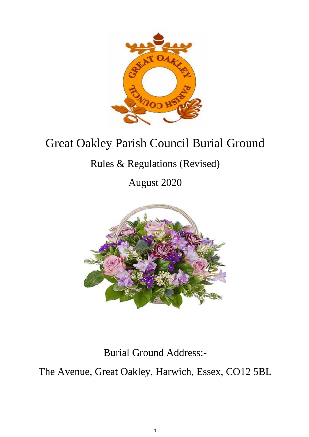

# Great Oakley Parish Council Burial Ground

# Rules & Regulations (Revised)

August 2020



Burial Ground Address:-

The Avenue, Great Oakley, Harwich, Essex, CO12 5BL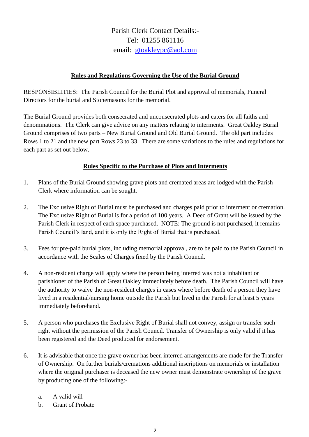Parish Clerk Contact Details:- Tel: 01255 861116 email: [gtoakleypc@aol.com](mailto:gtoakleypc@aol.com)

### **Rules and Regulations Governing the Use of the Burial Ground**

RESPONSIBLITIES: The Parish Council for the Burial Plot and approval of memorials, Funeral Directors for the burial and Stonemasons for the memorial.

The Burial Ground provides both consecrated and unconsecrated plots and caters for all faiths and denominations. The Clerk can give advice on any matters relating to interments. Great Oakley Burial Ground comprises of two parts – New Burial Ground and Old Burial Ground. The old part includes Rows 1 to 21 and the new part Rows 23 to 33. There are some variations to the rules and regulations for each part as set out below.

# **Rules Specific to the Purchase of Plots and Interments**

- 1. Plans of the Burial Ground showing grave plots and cremated areas are lodged with the Parish Clerk where information can be sought.
- 2. The Exclusive Right of Burial must be purchased and charges paid prior to interment or cremation. The Exclusive Right of Burial is for a period of 100 years. A Deed of Grant will be issued by the Parish Clerk in respect of each space purchased. NOTE: The ground is not purchased, it remains Parish Council's land, and it is only the Right of Burial that is purchased.
- 3. Fees for pre-paid burial plots, including memorial approval, are to be paid to the Parish Council in accordance with the Scales of Charges fixed by the Parish Council.
- 4. A non-resident charge will apply where the person being interred was not a inhabitant or parishioner of the Parish of Great Oakley immediately before death. The Parish Council will have the authority to waive the non-resident charges in cases where before death of a person they have lived in a residential/nursing home outside the Parish but lived in the Parish for at least 5 years immediately beforehand.
- 5. A person who purchases the Exclusive Right of Burial shall not convey, assign or transfer such right without the permission of the Parish Council. Transfer of Ownership is only valid if it has been registered and the Deed produced for endorsement.
- 6. It is advisable that once the grave owner has been interred arrangements are made for the Transfer of Ownership. On further burials/cremations additional inscriptions on memorials or installation where the original purchaser is deceased the new owner must demonstrate ownership of the grave by producing one of the following:
	- a. A valid will
	- b. Grant of Probate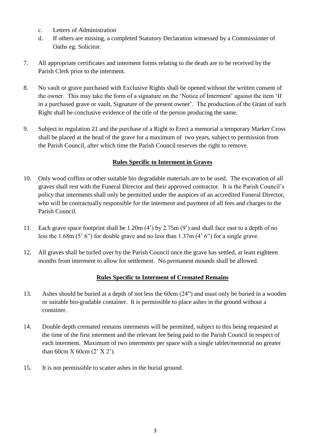- c. Letters of Administration
- d. If others are missing, a completed Statutory Declaration witnessed by a Commissioner of Oaths eg: Solicitor.
- 7. All appropriate certificates and interment forms relating to the death are to be received by the Parish Clerk prior to the interment.
- 8. No vault or grave purchased with Exclusive Rights shall be opened without the written consent of the owner. This may take the form of a signature on the 'Notice of Interment' against the item 'If in a purchased grave or vault, Signature of the present owner'. The production of the Grant of such Right shall be conclusive evidence of the title of the person producing the same.
- 9. Subject to regulation 21 and the purchase of a Right to Erect a memorial a temporary Marker Cross shall be placed at the head of the grave for a maximum of two years, subject to permission from the Parish Council, after which time the Parish Council reserves the right to remove.

# **Rules Specific to Interment in Graves**

- 10. Only wood coffins or other suitable bio degradable materials are to be used. The excavation of all graves shall rest with the Funeral Director and their approved contractor. It is the Parish Council's policy that interments shall only be permitted under the auspices of an accredited Funeral Director, who will be contractually responsible for the interment and payment of all fees and charges to the Parish Council.
- 11. Each grave space footprint shall be 1.20m (4') by 2.75m (9') and shall face east to a depth of no less the 1.68m (5' 6") for double grave and no less than 1.37m (4' 6") for a single grave.
- 12. All graves shall be turfed over by the Parish Council once the grave has settled, at least eighteen months from interment to allow for settlement. No permanent mounds shall be allowed.

# **Rules Specific to Interment of Cremated Remains**

- 13. Ashes should be buried at a depth of not less the 60cm (24") and must only be buried in a wooden or suitable bio-gradable container. It is permissible to place ashes in the ground without a container.
- 14. Double depth cremated remains interments will be permitted, subject to this being requested at the time of the first interment and the relevant fee being paid to the Parish Council in respect of each interment. Maximum of two interments per space with a single tablet/memorial no greater than 60cm  $X$  60cm  $(2' X 2')$ .
- 15. It is not permissible to scatter ashes in the burial ground.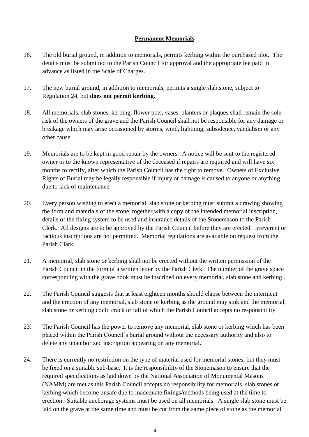### **Permanent Memorials**

- 16. The old burial ground, in addition to memorials, permits kerbing within the purchased plot. The details must be submitted to the Parish Council for approval and the appropriate fee paid in advance as listed in the Scale of Charges.
- 17. The new burial ground, in addition to memorials, permits a single slab stone, subject to Regulation 24, but **does not permit kerbing.**
- 18. All memorials, slab stones, kerbing, flower pots, vases, planters or plaques shall remain the sole risk of the owners of the grave and the Parish Council shall not be responsible for any damage or breakage which may arise occasioned by storms, wind, lightning, subsidence, vandalism or any other cause.
- 19. Memorials are to be kept in good repair by the owners. A notice will be sent to the registered owner or to the known representative of the deceased if repairs are required and will have six months to rectify, after which the Parish Council has the right to remove. Owners of Exclusive Rights of Burial may be legally responsible if injury or damage is caused to anyone or anything due to lack of maintenance.
- 20. Every person wishing to erect a memorial, slab stone or kerbing must submit a drawing showing the form and materials of the stone, together with a copy of the intended memorial inscription, details of the fixing system to be used and insurance details of the Stonemason to the Parish Clerk. All designs are to be approved by the Parish Council before they are erected. Irreverent or factious inscriptions are not permitted. Memorial regulations are available on request from the Parish Clark.
- 21. A memorial, slab stone or kerbing shall not be erected without the written permission of the Parish Council in the form of a written letter by the Parish Clerk. The number of the grave space corresponding with the grave book must be inscribed on every memorial, slab stone and kerbing .
- 22. The Parish Council suggests that at least eighteen months should elapse between the interment and the erection of any memorial, slab stone or kerbing as the ground may sink and the memorial, slab stone or kerbing could crack or fall of which the Parish Council accepts no responsibility.
- 23. The Parish Council has the power to remove any memorial, slab stone or kerbing which has been placed within the Parish Council's burial ground without the necessary authority and also to delete any unauthorized inscription appearing on any memorial.
- 24. There is currently no restriction on the type of material used for memorial stones, but they must be fixed on a suitable sub-base. It is the responsibility of the Stonemason to ensure that the required specifications as laid down by the National Association of Monumental Masons (NAMM) are met as this Parish Council accepts no responsibility for memorials, slab stones or kerbing which become unsafe due to inadequate fixings/methods being used at the time to erection. Suitable anchorage systems must be used on all memorials. A single slab stone must be laid on the grave at the same time and must be cut from the same piece of stone as the memorial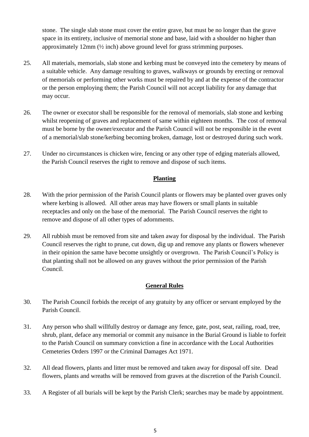stone. The single slab stone must cover the entire grave, but must be no longer than the grave space in its entirety, inclusive of memorial stone and base, laid with a shoulder no higher than approximately 12mm (½ inch) above ground level for grass strimming purposes.

- 25. All materials, memorials, slab stone and kerbing must be conveyed into the cemetery by means of a suitable vehicle. Any damage resulting to graves, walkways or grounds by erecting or removal of memorials or performing other works must be repaired by and at the expense of the contractor or the person employing them; the Parish Council will not accept liability for any damage that may occur.
- 26. The owner or executor shall be responsible for the removal of memorials, slab stone and kerbing whilst reopening of graves and replacement of same within eighteen months. The cost of removal must be borne by the owner/executor and the Parish Council will not be responsible in the event of a memorial/slab stone/kerbing becoming broken, damage, lost or destroyed during such work.
- 27. Under no circumstances is chicken wire, fencing or any other type of edging materials allowed, the Parish Council reserves the right to remove and dispose of such items.

# **Planting**

- 28. With the prior permission of the Parish Council plants or flowers may be planted over graves only where kerbing is allowed. All other areas may have flowers or small plants in suitable receptacles and only on the base of the memorial. The Parish Council reserves the right to remove and dispose of all other types of adornments.
- 29. All rubbish must be removed from site and taken away for disposal by the individual. The Parish Council reserves the right to prune, cut down, dig up and remove any plants or flowers whenever in their opinion the same have become unsightly or overgrown. The Parish Council's Policy is that planting shall not be allowed on any graves without the prior permission of the Parish Council.

# **General Rules**

- 30. The Parish Council forbids the receipt of any gratuity by any officer or servant employed by the Parish Council.
- 31. Any person who shall willfully destroy or damage any fence, gate, post, seat, railing, road, tree, shrub, plant, deface any memorial or commit any nuisance in the Burial Ground is liable to forfeit to the Parish Council on summary conviction a fine in accordance with the Local Authorities Cemeteries Orders 1997 or the Criminal Damages Act 1971.
- 32. All dead flowers, plants and litter must be removed and taken away for disposal off site. Dead flowers, plants and wreaths will be removed from graves at the discretion of the Parish Council.
- 33. A Register of all burials will be kept by the Parish Clerk; searches may be made by appointment.